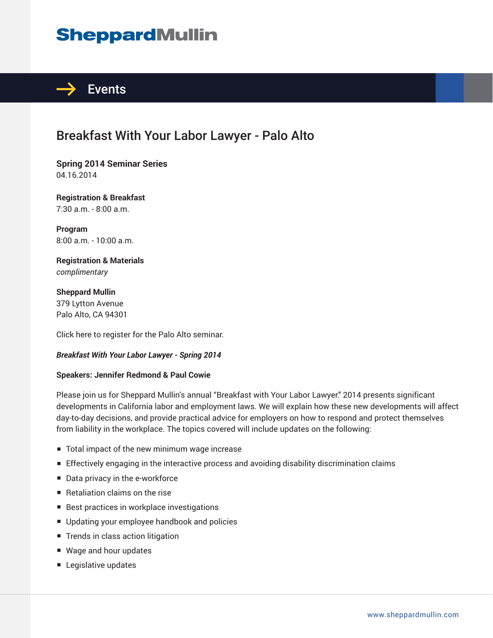# **SheppardMullin**



# Breakfast With Your Labor Lawyer - Palo Alto

**Spring 2014 Seminar Series** 04.16.2014

**Registration & Breakfast** 7:30 a.m. - 8:00 a.m.

**Program** 8:00 a.m. - 10:00 a.m.

**Registration & Materials** *complimentary*

**Sheppard Mullin** 379 Lytton Avenue Palo Alto, CA 94301

Click here to register for the Palo Alto seminar.

#### *Breakfast With Your Labor Lawyer - Spring 2014*

#### **Speakers: Jennifer Redmond & Paul Cowie**

Please join us for Sheppard Mullin's annual "Breakfast with Your Labor Lawyer." 2014 presents significant developments in California labor and employment laws. We will explain how these new developments will affect day-to-day decisions, and provide practical advice for employers on how to respond and protect themselves from liability in the workplace. The topics covered will include updates on the following:

- Total impact of the new minimum wage increase
- Effectively engaging in the interactive process and avoiding disability discrimination claims
- Data privacy in the e-workforce
- Retaliation claims on the rise
- Best practices in workplace investigations
- Updating your employee handbook and policies
- Trends in class action litigation
- Wage and hour updates
- Legislative updates